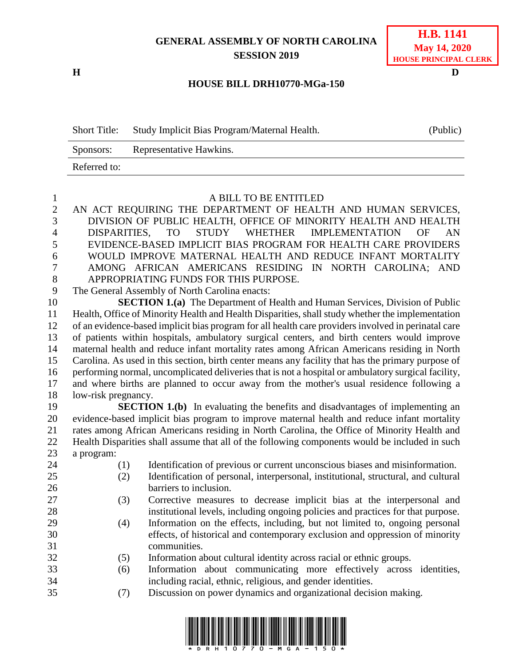## **GENERAL ASSEMBLY OF NORTH CAROLINA SESSION 2019**

**H D**

## **HOUSE BILL DRH10770-MGa-150**

| <b>Short Title:</b> | Study Implicit Bias Program/Maternal Health. | (Public) |
|---------------------|----------------------------------------------|----------|
| Sponsors:           | Representative Hawkins.                      |          |
| Referred to:        |                                              |          |

| 1               | A BILL TO BE ENTITLED                                                                               |  |  |
|-----------------|-----------------------------------------------------------------------------------------------------|--|--|
| $\overline{2}$  | AN ACT REQUIRING THE DEPARTMENT OF HEALTH AND HUMAN SERVICES,                                       |  |  |
| 3               | DIVISION OF PUBLIC HEALTH, OFFICE OF MINORITY HEALTH AND HEALTH                                     |  |  |
| $\overline{4}$  | <b>DISPARITIES.</b><br>STUDY WHETHER<br><b>IMPLEMENTATION</b><br>TO <sub>1</sub><br>OF<br>AN        |  |  |
| 5               | EVIDENCE-BASED IMPLICIT BIAS PROGRAM FOR HEALTH CARE PROVIDERS                                      |  |  |
| 6               | WOULD IMPROVE MATERNAL HEALTH AND REDUCE INFANT MORTALITY                                           |  |  |
| $\overline{7}$  | AMONG AFRICAN AMERICANS RESIDING IN NORTH CAROLINA; AND                                             |  |  |
| 8               | APPROPRIATING FUNDS FOR THIS PURPOSE.                                                               |  |  |
| 9               | The General Assembly of North Carolina enacts:                                                      |  |  |
| 10              | <b>SECTION 1.(a)</b> The Department of Health and Human Services, Division of Public                |  |  |
| 11              | Health, Office of Minority Health and Health Disparities, shall study whether the implementation    |  |  |
| 12              | of an evidence-based implicit bias program for all health care providers involved in perinatal care |  |  |
| 13              | of patients within hospitals, ambulatory surgical centers, and birth centers would improve          |  |  |
| 14              | maternal health and reduce infant mortality rates among African Americans residing in North         |  |  |
| 15              | Carolina. As used in this section, birth center means any facility that has the primary purpose of  |  |  |
| 16              | performing normal, uncomplicated deliveries that is not a hospital or ambulatory surgical facility, |  |  |
| 17              | and where births are planned to occur away from the mother's usual residence following a            |  |  |
| 18              | low-risk pregnancy.                                                                                 |  |  |
| 19              | <b>SECTION 1.(b)</b> In evaluating the benefits and disadvantages of implementing an                |  |  |
| 20              | evidence-based implicit bias program to improve maternal health and reduce infant mortality         |  |  |
| $\mathcal{D}$ 1 | rates among African Americans residing in North Carolina, the Office of Minority Health and         |  |  |

 rates among African Americans residing in North Carolina, the Office of Minority Health and Health Disparities shall assume that all of the following components would be included in such a program:

- 
- 
- (1) Identification of previous or current unconscious biases and misinformation.
- (2) Identification of personal, interpersonal, institutional, structural, and cultural barriers to inclusion.
- (3) Corrective measures to decrease implicit bias at the interpersonal and institutional levels, including ongoing policies and practices for that purpose.
- (4) Information on the effects, including, but not limited to, ongoing personal effects, of historical and contemporary exclusion and oppression of minority communities.
- (5) Information about cultural identity across racial or ethnic groups.
- (6) Information about communicating more effectively across identities, including racial, ethnic, religious, and gender identities.
- (7) Discussion on power dynamics and organizational decision making.